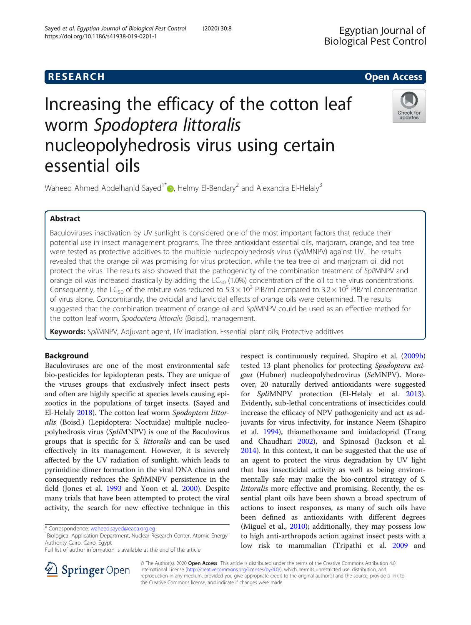# **RESEARCH CHE Open Access**

# Increasing the efficacy of the cotton leaf worm Spodoptera littoralis nucleopolyhedrosis virus using certain essential oils



Waheed Ahmed Abdelhanid Sayed<sup>1\*</sup>  $\bullet$ [,](http://orcid.org/0000-0003-1933-4994) Helmy El-Bendary<sup>2</sup> and Alexandra El-Helaly<sup>3</sup>

# Abstract

Baculoviruses inactivation by UV sunlight is considered one of the most important factors that reduce their potential use in insect management programs. The three antioxidant essential oils, marjoram, orange, and tea tree were tested as protective additives to the multiple nucleopolyhedrosis virus (SpliMNPV) against UV. The results revealed that the orange oil was promising for virus protection, while the tea tree oil and marjoram oil did not protect the virus. The results also showed that the pathogenicity of the combination treatment of SpliMNPV and orange oil was increased drastically by adding the  $LC_{50}$  (1.0%) concentration of the oil to the virus concentrations. Consequently, the LC<sub>50</sub> of the mixture was reduced to  $5.3 \times 10^3$  PIB/ml compared to  $3.2 \times 10^5$  PIB/ml concentration of virus alone. Concomitantly, the ovicidal and larvicidal effects of orange oils were determined. The results suggested that the combination treatment of orange oil and SpliMNPV could be used as an effective method for the cotton leaf worm, Spodoptera littoralis (Boisd.), management.

Keywords: SpliMNPV, Adjuvant agent, UV irradiation, Essential plant oils, Protective additives

# Background

Baculoviruses are one of the most environmental safe bio-pesticides for lepidopteran pests. They are unique of the viruses groups that exclusively infect insect pests and often are highly specific at species levels causing epizootics in the populations of target insects. (Sayed and El-Helaly [2018\)](#page-6-0). The cotton leaf worm Spodoptera littoralis (Boisd.) (Lepidoptera: Noctuidae) multiple nucleopolyhedrosis virus (SpliMNPV) is one of the Baculovirus groups that is specific for S. littoralis and can be used effectively in its management. However, it is severely affected by the UV radiation of sunlight, which leads to pyrimidine dimer formation in the viral DNA chains and consequently reduces the SpliMNPV persistence in the field (Jones et al. [1993](#page-6-0) and Yoon et al. [2000\)](#page-6-0). Despite many trials that have been attempted to protect the viral activity, the search for new effective technique in this





© The Author(s). 2020 Open Access This article is distributed under the terms of the Creative Commons Attribution 4.0 International License ([http://creativecommons.org/licenses/by/4.0/\)](http://creativecommons.org/licenses/by/4.0/), which permits unrestricted use, distribution, and reproduction in any medium, provided you give appropriate credit to the original author(s) and the source, provide a link to the Creative Commons license, and indicate if changes were made.

<sup>\*</sup> Correspondence: [waheed.sayed@eaea.org.eg](mailto:waheed.sayed@eaea.org.eg) <sup>1</sup>

<sup>&</sup>lt;sup>1</sup> Biological Application Department, Nuclear Research Center, Atomic Energy Authority Cairo, Cairo, Egypt

Full list of author information is available at the end of the article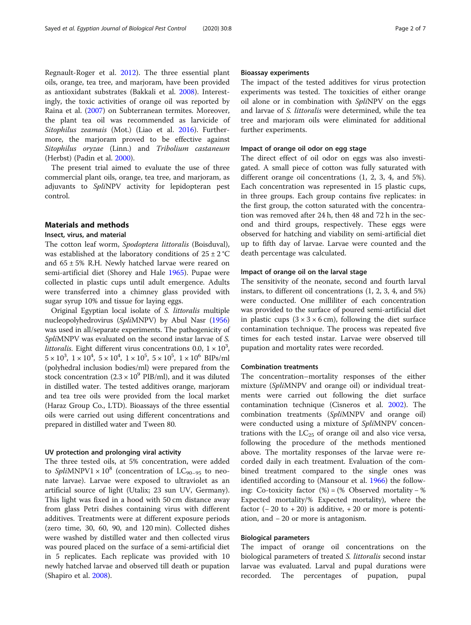Regnault-Roger et al. [2012](#page-6-0)). The three essential plant oils, orange, tea tree, and marjoram, have been provided as antioxidant substrates (Bakkali et al. [2008](#page-6-0)). Interestingly, the toxic activities of orange oil was reported by Raina et al. [\(2007](#page-6-0)) on Subterranean termites. Moreover, the plant tea oil was recommended as larvicide of Sitophilus zeamais (Mot.) (Liao et al. [2016](#page-6-0)). Furthermore, the marjoram proved to be effective against Sitophilus oryzae (Linn.) and Tribolium castaneum (Herbst) (Padin et al. [2000](#page-6-0)).

The present trial aimed to evaluate the use of three commercial plant oils, orange, tea tree, and marjoram, as adjuvants to SpliNPV activity for lepidopteran pest control.

# Materials and methods

# Insect, virus, and material

The cotton leaf worm, Spodoptera littoralis (Boisduval), was established at the laboratory conditions of  $25 \pm 2$  °C and  $65 \pm 5\%$  R.H. Newly hatched larvae were reared on semi-artificial diet (Shorey and Hale [1965\)](#page-6-0). Pupae were collected in plastic cups until adult emergence. Adults were transferred into a chimney glass provided with sugar syrup 10% and tissue for laying eggs.

Original Egyptian local isolate of S. littoralis multiple nucleopolyhedrovirus (SpliMNPV) by Abul Nasr [\(1956](#page-6-0)) was used in all/separate experiments. The pathogenicity of SpliMNPV was evaluated on the second instar larvae of S. littoralis. Eight different virus concentrations 0.0,  $1 \times 10^3$ ,  $5 \times 10^3$ ,  $1 \times 10^4$ ,  $5 \times 10^4$ ,  $1 \times 10^5$ ,  $5 \times 10^5$ ,  $1 \times 10^6$  BIPs/ml (polyhedral inclusion bodies/ml) were prepared from the stock concentration  $(2.3 \times 10^9 \text{ PIB/ml})$ , and it was diluted in distilled water. The tested additives orange, marjoram and tea tree oils were provided from the local market (Haraz Group Co., LTD). Bioassays of the three essential oils were carried out using different concentrations and prepared in distilled water and Tween 80.

# UV protection and prolonging viral activity

The three tested oils, at 5% concentration, were added to SpliMNPV1  $\times$  10<sup>8</sup> (concentration of LC<sub>90–95</sub> to neonate larvae). Larvae were exposed to ultraviolet as an artificial source of light (Utalix; 23 sun UV, Germany). This light was fixed in a hood with 50 cm distance away from glass Petri dishes containing virus with different additives. Treatments were at different exposure periods (zero time, 30, 60, 90, and 120 min). Collected dishes were washed by distilled water and then collected virus was poured placed on the surface of a semi-artificial diet in 5 replicates. Each replicate was provided with 10 newly hatched larvae and observed till death or pupation (Shapiro et al. [2008](#page-6-0)).

# Bioassay experiments

The impact of the tested additives for virus protection experiments was tested. The toxicities of either orange oil alone or in combination with SpliNPV on the eggs and larvae of S. littoralis were determined, while the tea tree and marjoram oils were eliminated for additional further experiments.

# Impact of orange oil odor on egg stage

The direct effect of oil odor on eggs was also investigated. A small piece of cotton was fully saturated with different orange oil concentrations (1, 2, 3, 4, and 5%). Each concentration was represented in 15 plastic cups, in three groups. Each group contains five replicates: in the first group, the cotton saturated with the concentration was removed after 24 h, then 48 and 72 h in the second and third groups, respectively. These eggs were observed for hatching and viability on semi-artificial diet up to fifth day of larvae. Larvae were counted and the death percentage was calculated.

#### Impact of orange oil on the larval stage

The sensitivity of the neonate, second and fourth larval instars, to different oil concentrations (1, 2, 3, 4, and 5%) were conducted. One milliliter of each concentration was provided to the surface of poured semi-artificial diet in plastic cups  $(3 \times 3 \times 6 \text{ cm})$ , following the diet surface contamination technique. The process was repeated five times for each tested instar. Larvae were observed till pupation and mortality rates were recorded.

### Combination treatments

The concentration–mortality responses of the either mixture (SpliMNPV and orange oil) or individual treatments were carried out following the diet surface contamination technique (Cisneros et al. [2002\)](#page-6-0). The combination treatments (SpliMNPV and orange oil) were conducted using a mixture of SpliMNPV concentrations with the  $LC_{25}$  of orange oil and also vice versa, following the procedure of the methods mentioned above. The mortality responses of the larvae were recorded daily in each treatment. Evaluation of the combined treatment compared to the single ones was identified according to (Mansour et al. [1966](#page-6-0)) the following: Co-toxicity factor  $(\%) = (\%$  Observed mortality – % Expected mortality/% Expected mortality), where the factor  $(-20 \text{ to } +20)$  is additive,  $+20 \text{ or more is potential}$ ation, and − 20 or more is antagonism.

# Biological parameters

The impact of orange oil concentrations on the biological parameters of treated S. littoralis second instar larvae was evaluated. Larval and pupal durations were recorded. The percentages of pupation, pupal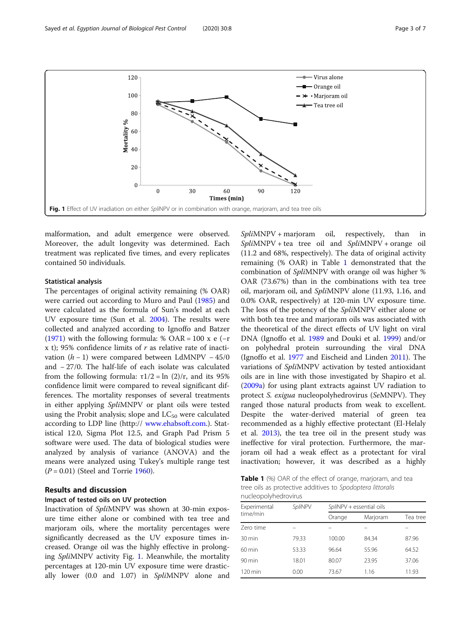

malformation, and adult emergence were observed. Moreover, the adult longevity was determined. Each treatment was replicated five times, and every replicates contained 50 individuals.

# Statistical analysis

The percentages of original activity remaining (% OAR) were carried out according to Muro and Paul ([1985](#page-6-0)) and were calculated as the formula of Sun's model at each UV exposure time (Sun et al. [2004\)](#page-6-0). The results were collected and analyzed according to Ignoffo and Batzer ([1971](#page-6-0)) with the following formula: % OAR = 100 x e ( $-r$ ) x t); 95% confidence limits of  $r$  as relative rate of inactivation  $(h - 1)$  were compared between LdMNPV – 45/0 and − 27/0. The half-life of each isolate was calculated from the following formula:  $τ1/2 = ln (2)/r$ , and its 95% confidence limit were compared to reveal significant differences. The mortality responses of several treatments in either applying SpliMNPV or plant oils were tested using the Probit analysis; slope and  $LC_{50}$  were calculated according to LDP line (http:// [www.ehabsoft.com](http://www.ehabsoft.com).). Statistical 12.0, Sigma Plot 12.5, and Graph Pad Prism 5 software were used. The data of biological studies were analyzed by analysis of variance (ANOVA) and the means were analyzed using Tukey's multiple range test  $(P = 0.01)$  (Steel and Torrie [1960](#page-6-0)).

# Results and discussion

# Impact of tested oils on UV protection

Inactivation of SpliMNPV was shown at 30-min exposure time either alone or combined with tea tree and marjoram oils, where the mortality percentages were significantly decreased as the UV exposure times increased. Orange oil was the highly effective in prolonging SpliMNPV activity Fig. 1. Meanwhile, the mortality percentages at 120-min UV exposure time were drastically lower (0.0 and 1.07) in SpliMNPV alone and SpliMNPV + marjoram oil, respectively, than in  $SplitMNPV + tea$  tree oil and  $SplitMNPV + orange$  oil (11.2 and 68%, respectively). The data of original activity remaining (% OAR) in Table 1 demonstrated that the combination of SpliMNPV with orange oil was higher % OAR (73.67%) than in the combinations with tea tree oil, marjoram oil, and SpliMNPV alone (11.93, 1.16, and 0.0% OAR, respectively) at 120-min UV exposure time. The loss of the potency of the SpliMNPV either alone or with both tea tree and marjoram oils was associated with the theoretical of the direct effects of UV light on viral DNA (Ignoffo et al. [1989](#page-6-0) and Douki et al. [1999](#page-6-0)) and/or on polyhedral protein surrounding the viral DNA (Ignoffo et al. [1977](#page-6-0) and Eischeid and Linden [2011\)](#page-6-0). The variations of SpliMNPV activation by tested antioxidant oils are in line with those investigated by Shapiro et al. ([2009a\)](#page-6-0) for using plant extracts against UV radiation to protect S. exigua nucleopolyhedrovirus (SeMNPV). They ranged those natural products from weak to excellent. Despite the water-derived material of green tea recommended as a highly effective protectant (El-Helaly et al. [2013\)](#page-6-0), the tea tree oil in the present study was ineffective for viral protection. Furthermore, the marjoram oil had a weak effect as a protectant for viral inactivation; however, it was described as a highly

Table 1 (%) OAR of the effect of orange, marjoram, and tea tree oils as protective additives to Spodoptera littoralis nucleopolyhedrovirus

| Experimental         | SpliNPV | SpliNPV + essential oils |          |          |  |  |
|----------------------|---------|--------------------------|----------|----------|--|--|
| time/min             |         | Orange                   | Marjoram | Tea tree |  |  |
| Zero time            |         |                          |          |          |  |  |
| $30 \,\mathrm{min}$  | 79.33   | 100.00                   | 84.34    | 87.96    |  |  |
| $60 \text{ min}$     | 53.33   | 96.64                    | 55.96    | 64.52    |  |  |
| $90 \text{ min}$     | 18.01   | 80.07                    | 23.95    | 37.06    |  |  |
| $120 \,\mathrm{min}$ | 0.00    | 73.67                    | 1.16     | 11.93    |  |  |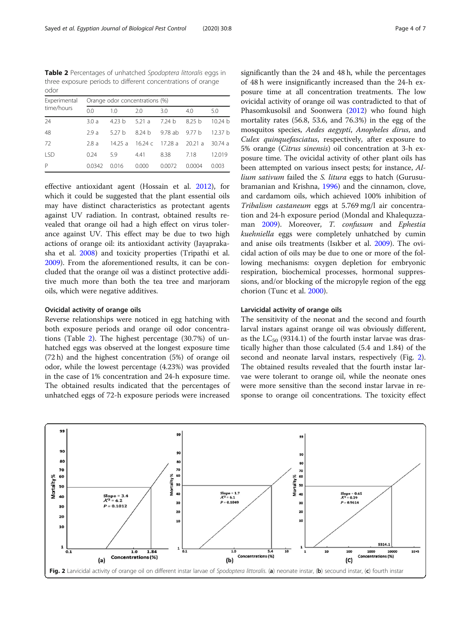Table 2 Percentages of unhatched Spodoptera littoralis eggs in three exposure periods to different concentrations of orange odor

| Experimental<br>time/hours | Orange odor concentrations (%) |          |                  |         |          |         |  |
|----------------------------|--------------------------------|----------|------------------|---------|----------|---------|--|
|                            | 0.0                            | 1.0      | 2.0              | 3.0     | 4.0      | 5.0     |  |
| 24                         | 3.0a                           | 4.23 $h$ | 5.21a            | 7.24h   | 8.25h    | 10.24 h |  |
| 48                         | 2.9a                           | 527 h    | 824 h            | 9.78 ab | 9.77 $h$ | 12.37 h |  |
| 72                         | 2.8a                           | 14.25a   | 16.24 $\epsilon$ | 17.28 a | 20.21 a  | 30.74a  |  |
| <b>LSD</b>                 | 0.24                           | 5.9      | 4.41             | 8.38    | 7.18     | 12.019  |  |
| P                          | 0.0342                         | 0.016    | 0.000            | 0.0072  | 0.0004   | 0.003   |  |

effective antioxidant agent (Hossain et al. [2012](#page-6-0)), for which it could be suggested that the plant essential oils may have distinct characteristics as protectant agents against UV radiation. In contrast, obtained results revealed that orange oil had a high effect on virus tolerance against UV. This effect may be due to two high actions of orange oil: its antioxidant activity (Jayaprakasha et al. [2008](#page-6-0)) and toxicity properties (Tripathi et al. [2009](#page-6-0)). From the aforementioned results, it can be concluded that the orange oil was a distinct protective additive much more than both the tea tree and marjoram oils, which were negative additives.

# Ovicidal activity of orange oils

Reverse relationships were noticed in egg hatching with both exposure periods and orange oil odor concentrations (Table 2). The highest percentage (30.7%) of unhatched eggs was observed at the longest exposure time (72 h) and the highest concentration (5%) of orange oil odor, while the lowest percentage (4.23%) was provided in the case of 1% concentration and 24-h exposure time. The obtained results indicated that the percentages of unhatched eggs of 72-h exposure periods were increased significantly than the 24 and 48 h, while the percentages of 48 h were insignificantly increased than the 24-h exposure time at all concentration treatments. The low ovicidal activity of orange oil was contradicted to that of Phasomkusolsil and Soonwera [\(2012\)](#page-6-0) who found high mortality rates (56.8, 53.6, and 76.3%) in the egg of the mosquitos species, Aedes aegypti, Anopheles dirus, and Culex quinquefasciatus, respectively, after exposure to 5% orange (Citrus sinensis) oil concentration at 3-h exposure time. The ovicidal activity of other plant oils has been attempted on various insect pests; for instance, Allium sativum failed the S. litura eggs to hatch (Gurusubramanian and Krishna, [1996](#page-6-0)) and the cinnamon, clove, and cardamom oils, which achieved 100% inhibition of Tribalism castaneum eggs at 5.769 mg/l air concentration and 24-h exposure period (Mondal and Khalequzza-man [2009](#page-6-0)). Moreover, T. confusum and Ephestia kuehniella eggs were completely unhatched by cumin and anise oils treatments (Isıkber et al. [2009](#page-6-0)). The ovicidal action of oils may be due to one or more of the following mechanisms: oxygen depletion for embryonic respiration, biochemical processes, hormonal suppressions, and/or blocking of the micropyle region of the egg chorion (Tunc et al. [2000](#page-6-0)).

# Larvicidal activity of orange oils

The sensitivity of the neonat and the second and fourth larval instars against orange oil was obviously different, as the  $LC_{50}$  (9314.1) of the fourth instar larvae was drastically higher than those calculated (5.4 and 1.84) of the second and neonate larval instars, respectively (Fig. 2). The obtained results revealed that the fourth instar larvae were tolerant to orange oil, while the neonate ones were more sensitive than the second instar larvae in response to orange oil concentrations. The toxicity effect

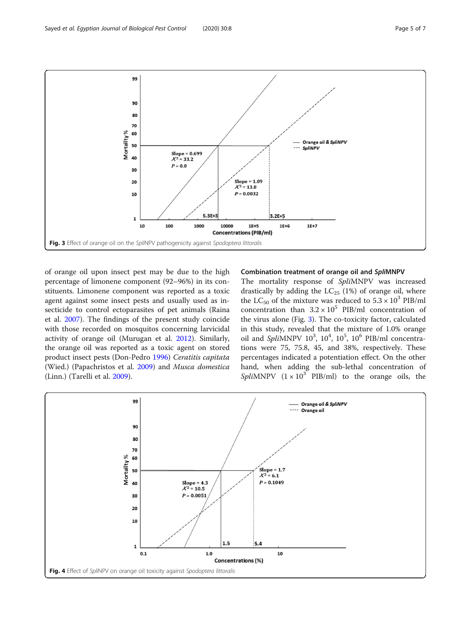<span id="page-4-0"></span>Sayed et al. Egyptian Journal of Biological Pest Control (2020) 30:8 Page 5 of 7



of orange oil upon insect pest may be due to the high percentage of limonene component (92–96%) in its constituents. Limonene component was reported as a toxic agent against some insect pests and usually used as insecticide to control ectoparasites of pet animals (Raina et al. [2007](#page-6-0)). The findings of the present study coincide with those recorded on mosquitos concerning larvicidal activity of orange oil (Murugan et al. [2012](#page-6-0)). Similarly, the orange oil was reported as a toxic agent on stored product insect pests (Don-Pedro [1996\)](#page-6-0) Ceratitis capitata (Wied.) (Papachristos et al. [2009](#page-6-0)) and Musca domestica (Linn.) (Tarelli et al. [2009](#page-6-0)).

# Combination treatment of orange oil and SpliMNPV

The mortality response of SpliMNPV was increased drastically by adding the  $LC_{25}$  (1%) of orange oil, where the LC<sub>50</sub> of the mixture was reduced to  $5.3 \times 10^3$  PIB/ml concentration than  $3.2 \times 10^5$  PIB/ml concentration of the virus alone (Fig. 3). The co-toxicity factor, calculated in this study, revealed that the mixture of 1.0% orange oil and SpliMNPV  $10^3$ ,  $10^4$ ,  $10^5$ ,  $10^6$  PIB/ml concentrations were 75, 75.8, 45, and 38%, respectively. These percentages indicated a potentiation effect. On the other hand, when adding the sub-lethal concentration of SpliMNPV  $(1 \times 10^3$  PIB/ml) to the orange oils, the

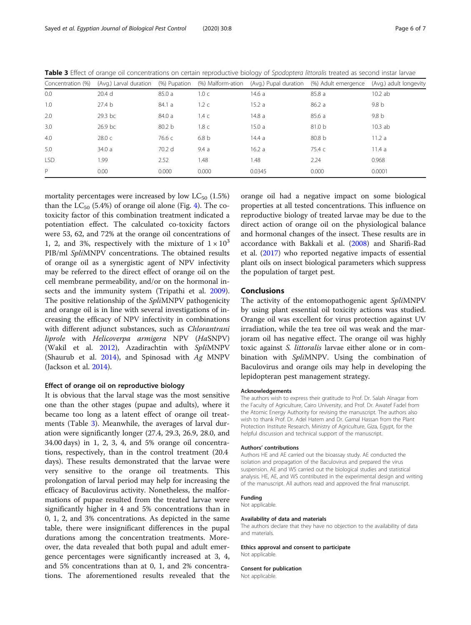| Concentration (%) |                    |                   |                  |        | (Avg.) Larval duration (%) Pupation (%) Malform-ation (Avg.) Pupal duration (%) Adult emergence (Avg.) adult longevity |        |
|-------------------|--------------------|-------------------|------------------|--------|------------------------------------------------------------------------------------------------------------------------|--------|
| 0.0               | 20.4 <sub>d</sub>  | 85.0a             | 1.0 <sub>c</sub> | 14.6 a | 85.8a                                                                                                                  | 10.2ab |
| 1.0               | 27.4 <sub>b</sub>  | 84.1 a            | 1.2 <sub>c</sub> | 15.2a  | 86.2a                                                                                                                  | 9.8 b  |
| 2.0               | 29.3 bc            | 84.0 a            | 1.4 <sub>c</sub> | 14.8a  | 85.6 a                                                                                                                 | 9.8 b  |
| 3.0               | 26.9 <sub>bc</sub> | 80.2 <sub>b</sub> | 1.8 <sub>c</sub> | 15.0a  | 81.0 <sub>b</sub>                                                                                                      | 10.3ab |
| 4.0               | 28.0 <sub>c</sub>  | 76.6 с            | 6.8 <sub>b</sub> | 14.4a  | 80.8 <sub>b</sub>                                                                                                      | 11.2a  |
| 5.0               | 34.0a              | 70.2 d            | 9.4a             | 16.2a  | 75.4 c                                                                                                                 | 11.4a  |
| <b>LSD</b>        | 1.99               | 2.52              | 1.48             | 1.48   | 2.24                                                                                                                   | 0.968  |
| P                 | 0.00 <sub>1</sub>  | 0.000             | 0.000            | 0.0345 | 0.000                                                                                                                  | 0.0001 |

Table 3 Effect of orange oil concentrations on certain reproductive biology of Spodoptera littoralis treated as second instar larvae

mortality percentages were increased by low  $LC_{50}$  (1.5%) than the  $LC_{50}$  (5.4%) of orange oil alone (Fig. [4\)](#page-4-0). The cotoxicity factor of this combination treatment indicated a potentiation effect. The calculated co-toxicity factors were 53, 62, and 72% at the orange oil concentrations of 1, 2, and 3%, respectively with the mixture of  $1 \times 10^3$ PIB/ml SpliMNPV concentrations. The obtained results of orange oil as a synergistic agent of NPV infectivity may be referred to the direct effect of orange oil on the cell membrane permeability, and/or on the hormonal insects and the immunity system (Tripathi et al. [2009](#page-6-0)). The positive relationship of the SpliMNPV pathogenicity and orange oil is in line with several investigations of increasing the efficacy of NPV infectivity in combinations with different adjunct substances, such as *Chlorantrani* liprole with Helicoverpa armigera NPV (HaSNPV) (Wakil et al. [2012\)](#page-6-0), Azadirachtin with SpliMNPV (Shaurub et al. [2014\)](#page-6-0), and Spinosad with Ag MNPV (Jackson et al. [2014](#page-6-0)).

### Effect of orange oil on reproductive biology

It is obvious that the larval stage was the most sensitive one than the other stages (pupae and adults), where it became too long as a latent effect of orange oil treatments (Table 3). Meanwhile, the averages of larval duration were significantly longer (27.4, 29.3, 26.9, 28.0, and 34.00 days) in 1, 2, 3, 4, and 5% orange oil concentrations, respectively, than in the control treatment (20.4 days). These results demonstrated that the larvae were very sensitive to the orange oil treatments. This prolongation of larval period may help for increasing the efficacy of Baculovirus activity. Nonetheless, the malformations of pupae resulted from the treated larvae were significantly higher in 4 and 5% concentrations than in 0, 1, 2, and 3% concentrations. As depicted in the same table, there were insignificant differences in the pupal durations among the concentration treatments. Moreover, the data revealed that both pupal and adult emergence percentages were significantly increased at 3, 4, and 5% concentrations than at 0, 1, and 2% concentrations. The aforementioned results revealed that the

orange oil had a negative impact on some biological properties at all tested concentrations. This influence on reproductive biology of treated larvae may be due to the direct action of orange oil on the physiological balance and hormonal changes of the insect. These results are in accordance with Bakkali et al. [\(2008](#page-6-0)) and Sharifi-Rad et al. [\(2017](#page-6-0)) who reported negative impacts of essential plant oils on insect biological parameters which suppress the population of target pest.

# Conclusions

The activity of the entomopathogenic agent SpliMNPV by using plant essential oil toxicity actions was studied. Orange oil was excellent for virus protection against UV irradiation, while the tea tree oil was weak and the marjoram oil has negative effect. The orange oil was highly toxic against S. littoralis larvae either alone or in combination with SpliMNPV. Using the combination of Baculovirus and orange oils may help in developing the lepidopteran pest management strategy.

#### Acknowledgements

The authors wish to express their gratitude to Prof. Dr. Salah Alnagar from the Faculty of Agriculture, Cairo University, and Prof. Dr. Awatef Fadel from the Atomic Energy Authority for revising the manuscript. The authors also wish to thank Prof. Dr. Adel Hatem and Dr. Gamal Hassan from the Plant Protection Institute Research, Ministry of Agriculture, Giza, Egypt, for the helpful discussion and technical support of the manuscript.

#### Authors' contributions

Authors HE and AE carried out the bioassay study. AE conducted the isolation and propagation of the Baculovirus and prepared the virus suspension. AE and WS carried out the biological studies and statistical analysis. HE, AE, and WS contributed in the experimental design and writing of the manuscript. All authors read and approved the final manuscript.

#### Funding

Not applicable.

#### Availability of data and materials

The authors declare that they have no objection to the availability of data and materials.

Ethics approval and consent to participate Not applicable.

### Consent for publication

Not applicable.